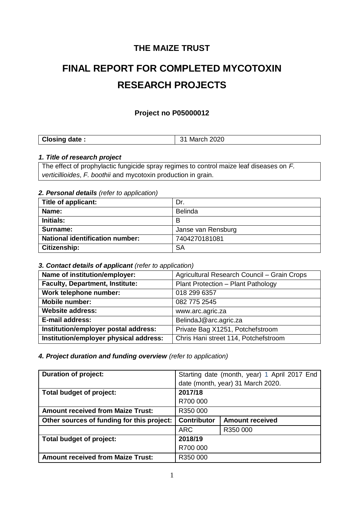## **THE MAIZE TRUST**

# **FINAL REPORT FOR COMPLETED MYCOTOXIN RESEARCH PROJECTS**

## **Project no P05000012**

## *1. Title of research project*

The effect of prophylactic fungicide spray regimes to control maize leaf diseases on *F. verticillioides*, *F. boothii* and mycotoxin production in grain.

## *2. Personal details (refer to application)*

| Title of applicant:                    | Dr.                |
|----------------------------------------|--------------------|
| Name:                                  | <b>Belinda</b>     |
| <b>Initials:</b>                       | В                  |
| Surname:                               | Janse van Rensburg |
| <b>National identification number:</b> | 7404270181081      |
| Citizenship:                           | SΑ                 |

## *3. Contact details of applicant (refer to application)*

| Name of institution/employer:          | Agricultural Research Council - Grain Crops |
|----------------------------------------|---------------------------------------------|
| <b>Faculty, Department, Institute:</b> | Plant Protection - Plant Pathology          |
| Work telephone number:                 | 018 299 6357                                |
| <b>Mobile number:</b>                  | 082 775 2545                                |
| <b>Website address:</b>                | www.arc.agric.za                            |
| E-mail address:                        | BelindaJ@arc.agric.za                       |
| Institution/employer postal address:   | Private Bag X1251, Potchefstroom            |
| Institution/employer physical address: | Chris Hani street 114, Potchefstroom        |

### *4. Project duration and funding overview (refer to application)*

| <b>Duration of project:</b>                | Starting date (month, year) 1 April 2017 End |                        |
|--------------------------------------------|----------------------------------------------|------------------------|
|                                            | date (month, year) 31 March 2020.            |                        |
| Total budget of project:                   | 2017/18                                      |                        |
|                                            | R700 000                                     |                        |
| <b>Amount received from Maize Trust:</b>   | R350 000                                     |                        |
| Other sources of funding for this project: | <b>Contributor</b>                           | <b>Amount received</b> |
|                                            | <b>ARC</b>                                   | R350 000               |
| Total budget of project:                   | 2018/19                                      |                        |
|                                            | R700 000                                     |                        |
| <b>Amount received from Maize Trust:</b>   | R350 000                                     |                        |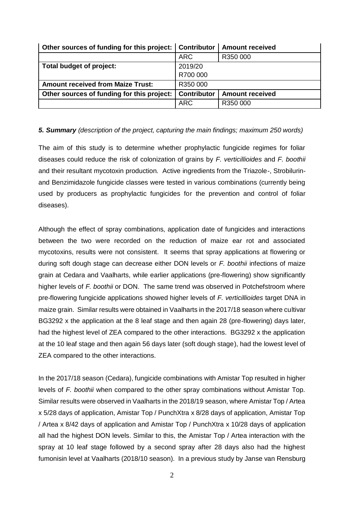| Other sources of funding for this project:   Contributor |                    | <b>Amount received</b> |
|----------------------------------------------------------|--------------------|------------------------|
|                                                          | <b>ARC</b>         | R350 000               |
| Total budget of project:                                 | 2019/20            |                        |
|                                                          | R700 000           |                        |
| <b>Amount received from Maize Trust:</b>                 | R350 000           |                        |
| Other sources of funding for this project:               | <b>Contributor</b> | <b>Amount received</b> |
|                                                          | <b>ARC</b>         | R350 000               |

## *5. Summary (description of the project, capturing the main findings; maximum 250 words)*

The aim of this study is to determine whether prophylactic fungicide regimes for foliar diseases could reduce the risk of colonization of grains by *F. verticillioides* and *F. boothii* and their resultant mycotoxin production. Active ingredients from the Triazole-, Strobilurinand Benzimidazole fungicide classes were tested in various combinations (currently being used by producers as prophylactic fungicides for the prevention and control of foliar diseases).

Although the effect of spray combinations, application date of fungicides and interactions between the two were recorded on the reduction of maize ear rot and associated mycotoxins, results were not consistent. It seems that spray applications at flowering or during soft dough stage can decrease either DON levels or *F. boothii* infections of maize grain at Cedara and Vaalharts, while earlier applications (pre-flowering) show significantly higher levels of *F. boothii* or DON. The same trend was observed in Potchefstroom where pre-flowering fungicide applications showed higher levels of *F. verticillioides* target DNA in maize grain. Similar results were obtained in Vaalharts in the 2017/18 season where cultivar BG3292 x the application at the 8 leaf stage and then again 28 (pre-flowering) days later, had the highest level of ZEA compared to the other interactions. BG3292 x the application at the 10 leaf stage and then again 56 days later (soft dough stage), had the lowest level of ZEA compared to the other interactions.

In the 2017/18 season (Cedara), fungicide combinations with Amistar Top resulted in higher levels of *F. boothii* when compared to the other spray combinations without Amistar Top. Similar results were observed in Vaalharts in the 2018/19 season, where Amistar Top / Artea x 5/28 days of application, Amistar Top / PunchXtra x 8/28 days of application, Amistar Top / Artea x 8/42 days of application and Amistar Top / PunchXtra x 10/28 days of application all had the highest DON levels. Similar to this, the Amistar Top / Artea interaction with the spray at 10 leaf stage followed by a second spray after 28 days also had the highest fumonisin level at Vaalharts (2018/10 season). In a previous study by Janse van Rensburg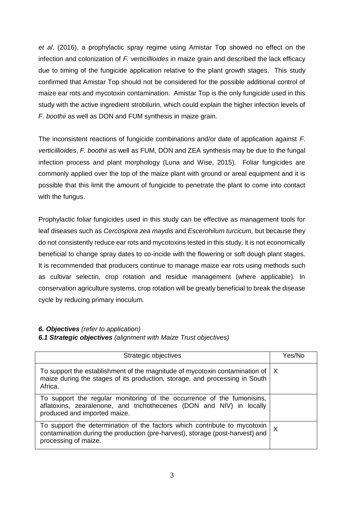*et al*. (2016), a prophylactic spray regime using Amistar Top showed no effect on the infection and colonization of *F. verticillioides* in maize grain and described the lack efficacy due to timing of the fungicide application relative to the plant growth stages. This study confirmed that Amistar Top should not be considered for the possible additional control of maize ear rots and mycotoxin contamination. Amistar Top is the only fungicide used in this study with the active ingredient strobilurin, which could explain the higher infection levels of *F. boothii* as well as DON and FUM synthesis in maize grain.

The inconsistent reactions of fungicide combinations and/or date of application against *F. verticillioides*, *F. boothii* as well as FUM, DON and ZEA synthesis may be due to the fungal infection process and plant morphology (Luna and Wise, 2015). Foliar fungicides are commonly applied over the top of the maize plant with ground or areal equipment and it is possible that this limit the amount of fungicide to penetrate the plant to come into contact with the fungus.

Prophylactic foliar fungicides used in this study can be effective as management tools for leaf diseases such as *Cercospora zea maydis* and *Escerohilum turcicum,* but because they do not consistently reduce ear rots and mycotoxins tested in this study, it is not economically beneficial to change spray dates to co-incide with the flowering or soft dough plant stages. It is recommended that producers continue to manage maize ear rots using methods such as cultivar selectin, crop rotation and residue management (where applicable). In conservation agriculture systems, crop rotation will be greatly beneficial to break the disease cycle by reducing primary inoculum.

## *6. Objectives (refer to application)*

*6.1 Strategic objectives (alignment with Maize Trust objectives)*

| Strategic objectives                                                                                                                                                               | Yes/No       |
|------------------------------------------------------------------------------------------------------------------------------------------------------------------------------------|--------------|
| To support the establishment of the magnitude of mycotoxin contamination of<br>maize during the stages of its production, storage, and processing in South<br>Africa.              | ΙX.          |
| To support the regular monitoring of the occurrence of the fumonisins,<br>aflatoxins, zearalenone, and trichothecenes (DON and NIV) in locally<br>produced and imported maize.     |              |
| To support the determination of the factors which contribute to mycotoxin<br>contamination during the production (pre-harvest), storage (post-harvest) and<br>processing of maize. | $\mathsf{X}$ |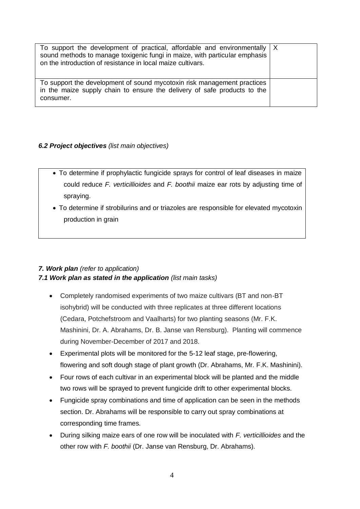| To support the development of practical, affordable and environmentally $ X $<br>sound methods to manage toxigenic fungi in maize, with particular emphasis<br>on the introduction of resistance in local maize cultivars. |  |
|----------------------------------------------------------------------------------------------------------------------------------------------------------------------------------------------------------------------------|--|
| To support the development of sound mycotoxin risk management practices<br>in the maize supply chain to ensure the delivery of safe products to the<br>consumer.                                                           |  |

## *6.2 Project objectives (list main objectives)*

- To determine if prophylactic fungicide sprays for control of leaf diseases in maize could reduce *F. verticillioides* and *F. boothii* maize ear rots by adjusting time of spraying.
- To determine if strobilurins and or triazoles are responsible for elevated mycotoxin production in grain

## *7. Work plan (refer to application) 7.1 Work plan as stated in the application (list main tasks)*

- Completely randomised experiments of two maize cultivars (BT and non-BT isohybrid) will be conducted with three replicates at three different locations (Cedara, Potchefstroom and Vaalharts) for two planting seasons (Mr. F.K. Mashinini, Dr. A. Abrahams, Dr. B. Janse van Rensburg). Planting will commence during November-December of 2017 and 2018.
- Experimental plots will be monitored for the 5-12 leaf stage, pre-flowering, flowering and soft dough stage of plant growth (Dr. Abrahams, Mr. F.K. Mashinini).
- Four rows of each cultivar in an experimental block will be planted and the middle two rows will be sprayed to prevent fungicide drift to other experimental blocks.
- Fungicide spray combinations and time of application can be seen in the methods section. Dr. Abrahams will be responsible to carry out spray combinations at corresponding time frames.
- During silking maize ears of one row will be inoculated with *F. verticillioides* and the other row with *F. boothii* (Dr. Janse van Rensburg, Dr. Abrahams)*.*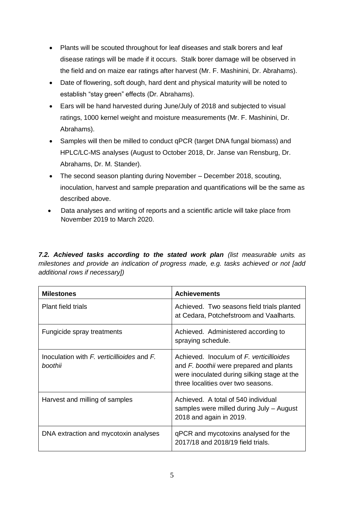- Plants will be scouted throughout for leaf diseases and stalk borers and leaf disease ratings will be made if it occurs. Stalk borer damage will be observed in the field and on maize ear ratings after harvest (Mr. F. Mashinini, Dr. Abrahams).
- Date of flowering, soft dough, hard dent and physical maturity will be noted to establish "stay green" effects (Dr. Abrahams).
- Ears will be hand harvested during June/July of 2018 and subjected to visual ratings, 1000 kernel weight and moisture measurements (Mr. F. Mashinini, Dr. Abrahams).
- Samples will then be milled to conduct qPCR (target DNA fungal biomass) and HPLC/LC-MS analyses (August to October 2018, Dr. Janse van Rensburg, Dr. Abrahams, Dr. M. Stander).
- The second season planting during November December 2018, scouting, inoculation, harvest and sample preparation and quantifications will be the same as described above.
- Data analyses and writing of reports and a scientific article will take place from November 2019 to March 2020.

*7.2. Achieved tasks according to the stated work plan (list measurable units as milestones and provide an indication of progress made, e.g. tasks achieved or not [add additional rows if necessary])*

| <b>Milestones</b>                                         | <b>Achievements</b>                                                                                                                                                      |
|-----------------------------------------------------------|--------------------------------------------------------------------------------------------------------------------------------------------------------------------------|
| Plant field trials                                        | Achieved. Two seasons field trials planted<br>at Cedara, Potchefstroom and Vaalharts.                                                                                    |
| Fungicide spray treatments                                | Achieved. Administered according to<br>spraying schedule.                                                                                                                |
| Inoculation with $F$ verticillioides and $F$ .<br>hoothii | Achieved. Inoculum of F. verticillioides<br>and F. boothii were prepared and plants<br>were inoculated during silking stage at the<br>three localities over two seasons. |
| Harvest and milling of samples                            | Achieved. A total of 540 individual<br>samples were milled during July - August<br>2018 and again in 2019.                                                               |
| DNA extraction and mycotoxin analyses                     | qPCR and mycotoxins analysed for the<br>2017/18 and 2018/19 field trials.                                                                                                |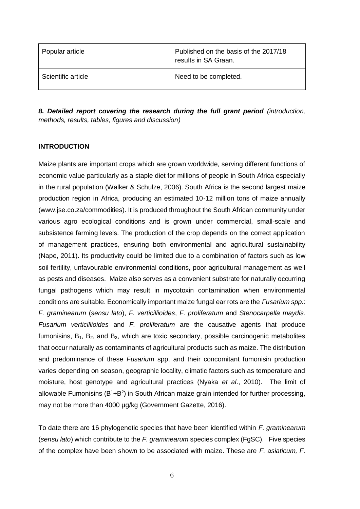| Popular article    | Published on the basis of the 2017/18<br>results in SA Graan. |
|--------------------|---------------------------------------------------------------|
| Scientific article | Need to be completed.                                         |

*8. Detailed report covering the research during the full grant period (introduction, methods, results, tables, figures and discussion)*

### **INTRODUCTION**

Maize plants are important crops which are grown worldwide, serving different functions of economic value particularly as a staple diet for millions of people in South Africa especially in the rural population (Walker & Schulze, 2006). South Africa is the second largest maize production region in Africa, producing an estimated 10-12 million tons of maize annually (www.jse.co.za/commodities). It is produced throughout the South African community under various agro ecological conditions and is grown under commercial, small-scale and subsistence farming levels. The production of the crop depends on the correct application of management practices, ensuring both environmental and agricultural sustainability (Nape, 2011). Its productivity could be limited due to a combination of factors such as low soil fertility, unfavourable environmental conditions, poor agricultural management as well as pests and diseases. Maize also serves as a convenient substrate for naturally occurring fungal pathogens which may result in mycotoxin contamination when environmental conditions are suitable. Economically important maize fungal ear rots are the *Fusarium spp.*: *F. graminearum* (*sensu lato*), *F. verticillioides*, *F. proliferatum* and *Stenocarpella maydis. Fusarium verticillioides* and *F. proliferatum* are the causative agents that produce fumonisins,  $B_1$ ,  $B_2$ , and  $B_3$ , which are toxic secondary, possible carcinogenic metabolites that occur naturally as contaminants of agricultural products such as maize. The distribution and predominance of these *Fusarium* spp. and their concomitant fumonisin production varies depending on season, geographic locality, climatic factors such as temperature and moisture, host genotype and agricultural practices (Nyaka *et al*., 2010). The limit of allowable Fumonisins  $(B<sup>1</sup>+B<sup>2</sup>)$  in South African maize grain intended for further processing, may not be more than 4000 µg/kg (Government Gazette, 2016).

To date there are 16 phylogenetic species that have been identified within *F. graminearum* (*sensu lato*) which contribute to the *F. graminearum* species complex (FgSC). Five species of the complex have been shown to be associated with maize. These are *F. asiaticum, F.*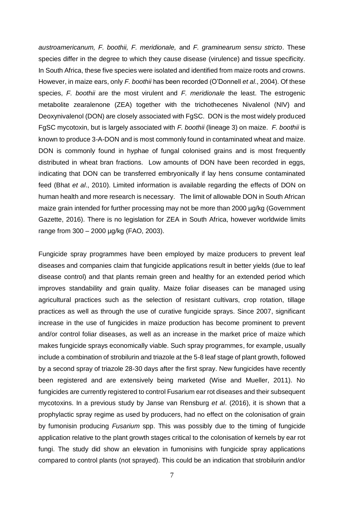*austroamericanum, F. boothii, F. meridionale,* and *F. graminearum sensu stricto*. These species differ in the degree to which they cause disease (virulence) and tissue specificity. In South Africa, these five species were isolated and identified from maize roots and crowns. However, in maize ears, only *F. boothii* has been recorded (O'Donnell *et al*., 2004). Of these species, *F. boothii* are the most virulent and *F. meridionale* the least. The estrogenic metabolite zearalenone (ZEA) together with the trichothecenes Nivalenol (NIV) and Deoxynivalenol (DON) are closely associated with FgSC. DON is the most widely produced FgSC mycotoxin, but is largely associated with *F. boothii* (lineage 3) on maize. *F. boothii* is known to produce 3-A-DON and is most commonly found in contaminated wheat and maize. DON is commonly found in hyphae of fungal colonised grains and is most frequently distributed in wheat bran fractions. Low amounts of DON have been recorded in eggs, indicating that DON can be transferred embryonically if lay hens consume contaminated feed (Bhat *et al*., 2010). Limited information is available regarding the effects of DON on human health and more research is necessary. The limit of allowable DON in South African maize grain intended for further processing may not be more than 2000 µg/kg (Government Gazette, 2016). There is no legislation for ZEA in South Africa, however worldwide limits range from 300 – 2000 µg/kg (FAO, 2003).

Fungicide spray programmes have been employed by maize producers to prevent leaf diseases and companies claim that fungicide applications result in better yields (due to leaf disease control) and that plants remain green and healthy for an extended period which improves standability and grain quality. Maize foliar diseases can be managed using agricultural practices such as the selection of resistant cultivars, crop rotation, tillage practices as well as through the use of curative fungicide sprays. Since 2007, significant increase in the use of fungicides in maize production has become prominent to prevent and/or control foliar diseases, as well as an increase in the market price of maize which makes fungicide sprays economically viable. Such spray programmes, for example, usually include a combination of strobilurin and triazole at the 5-8 leaf stage of plant growth, followed by a second spray of triazole 28-30 days after the first spray. New fungicides have recently been registered and are extensively being marketed (Wise and Mueller, 2011). No fungicides are currently registered to control Fusarium ear rot diseases and their subsequent mycotoxins. In a previous study by Janse van Rensburg *et al*. (2016), it is shown that a prophylactic spray regime as used by producers, had no effect on the colonisation of grain by fumonisin producing *Fusarium* spp. This was possibly due to the timing of fungicide application relative to the plant growth stages critical to the colonisation of kernels by ear rot fungi. The study did show an elevation in fumonisins with fungicide spray applications compared to control plants (not sprayed). This could be an indication that strobilurin and/or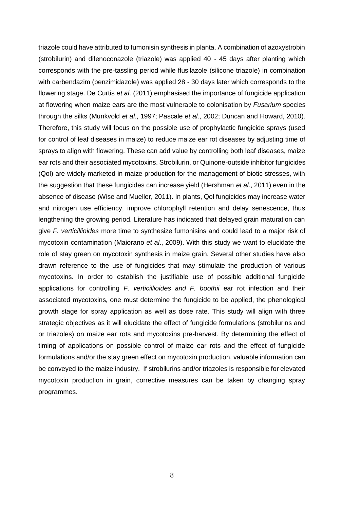triazole could have attributed to fumonisin synthesis in planta. A combination of azoxystrobin (strobilurin) and difenoconazole (triazole) was applied 40 - 45 days after planting which corresponds with the pre-tassling period while flusilazole (silicone triazole) in combination with carbendazim (benzimidazole) was applied 28 - 30 days later which corresponds to the flowering stage. De Curtis *et al*. (2011) emphasised the importance of fungicide application at flowering when maize ears are the most vulnerable to colonisation by *Fusarium* species through the silks (Munkvold *et al*., 1997; Pascale *et al*., 2002; Duncan and Howard, 2010). Therefore, this study will focus on the possible use of prophylactic fungicide sprays (used for control of leaf diseases in maize) to reduce maize ear rot diseases by adjusting time of sprays to align with flowering. These can add value by controlling both leaf diseases, maize ear rots and their associated mycotoxins. Strobilurin, or Quinone-outside inhibitor fungicides (Qol) are widely marketed in maize production for the management of biotic stresses, with the suggestion that these fungicides can increase yield (Hershman *et al*., 2011) even in the absence of disease (Wise and Mueller, 2011). In plants, Qol fungicides may increase water and nitrogen use efficiency, improve chlorophyll retention and delay senescence, thus lengthening the growing period. Literature has indicated that delayed grain maturation can give *F. verticillioides* more time to synthesize fumonisins and could lead to a major risk of mycotoxin contamination (Maiorano *et al*., 2009). With this study we want to elucidate the role of stay green on mycotoxin synthesis in maize grain. Several other studies have also drawn reference to the use of fungicides that may stimulate the production of various mycotoxins. In order to establish the justifiable use of possible additional fungicide applications for controlling *F. verticillioides and F. boothii* ear rot infection and their associated mycotoxins, one must determine the fungicide to be applied, the phenological growth stage for spray application as well as dose rate. This study will align with three strategic objectives as it will elucidate the effect of fungicide formulations (strobilurins and or triazoles) on maize ear rots and mycotoxins pre-harvest. By determining the effect of timing of applications on possible control of maize ear rots and the effect of fungicide formulations and/or the stay green effect on mycotoxin production, valuable information can be conveyed to the maize industry. If strobilurins and/or triazoles is responsible for elevated mycotoxin production in grain, corrective measures can be taken by changing spray programmes.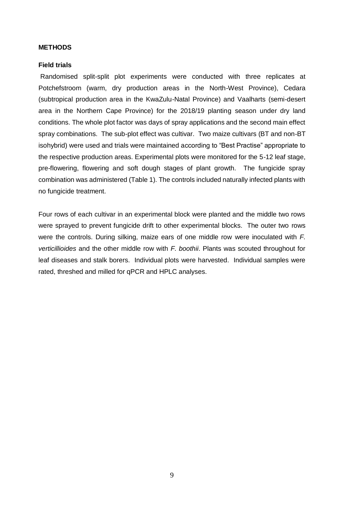#### **METHODS**

#### **Field trials**

Randomised split-split plot experiments were conducted with three replicates at Potchefstroom (warm, dry production areas in the North-West Province), Cedara (subtropical production area in the KwaZulu-Natal Province) and Vaalharts (semi-desert area in the Northern Cape Province) for the 2018/19 planting season under dry land conditions. The whole plot factor was days of spray applications and the second main effect spray combinations. The sub-plot effect was cultivar. Two maize cultivars (BT and non-BT isohybrid) were used and trials were maintained according to "Best Practise" appropriate to the respective production areas. Experimental plots were monitored for the 5-12 leaf stage, pre-flowering, flowering and soft dough stages of plant growth. The fungicide spray combination was administered (Table 1). The controls included naturally infected plants with no fungicide treatment.

Four rows of each cultivar in an experimental block were planted and the middle two rows were sprayed to prevent fungicide drift to other experimental blocks. The outer two rows were the controls. During silking, maize ears of one middle row were inoculated with *F. verticillioides* and the other middle row with *F. boothii*. Plants was scouted throughout for leaf diseases and stalk borers. Individual plots were harvested. Individual samples were rated, threshed and milled for qPCR and HPLC analyses.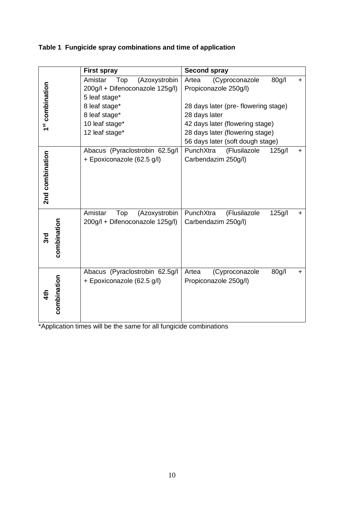|  | Table 1 Fungicide spray combinations and time of application |  |  |  |
|--|--------------------------------------------------------------|--|--|--|
|--|--------------------------------------------------------------|--|--|--|

|                             | <b>First spray</b>                                           | <b>Second spray</b>                                                    |
|-----------------------------|--------------------------------------------------------------|------------------------------------------------------------------------|
|                             | Amistar<br>Top<br>(Azoxystrobin                              | (Cyproconazole<br>80g/l<br>Artea<br>÷.                                 |
| 1 <sup>st</sup> combination | 200g/l + Difenoconazole 125g/l)<br>5 leaf stage*             | Propiconazole 250g/l)                                                  |
|                             | 8 leaf stage*                                                | 28 days later (pre-flowering stage)                                    |
|                             | 8 leaf stage*                                                | 28 days later                                                          |
|                             | 10 leaf stage*                                               | 42 days later (flowering stage)                                        |
|                             | 12 leaf stage*                                               | 28 days later (flowering stage)                                        |
|                             |                                                              | 56 days later (soft dough stage)                                       |
|                             | Abacus (Pyraclostrobin 62.5g/l                               | PunchXtra<br>(Flusilazole<br>125g/l<br>$\pm$                           |
| 2nd combination             | + Epoxiconazole (62.5 g/l)                                   | Carbendazim 250g/l)                                                    |
|                             | Amistar<br>Top<br>(Azoxystrobin                              | PunchXtra<br>(Flusilazole<br>125g/l<br>+                               |
| combination<br>3rd          | 200g/l + Difenoconazole 125g/l)                              | Carbendazim 250g/l)                                                    |
| combination                 | Abacus (Pyraclostrobin 62.5g/l<br>+ Epoxiconazole (62.5 g/l) | Artea<br>(Cyproconazole<br>80g/l<br>$\ddot{}$<br>Propiconazole 250g/l) |

\*Application times will be the same for all fungicide combinations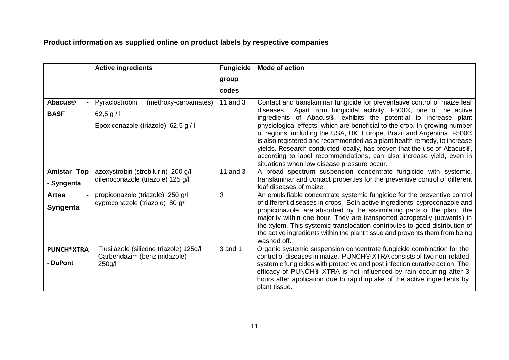## **Product information as supplied online on product labels by respective companies**

|                                          | <b>Active ingredients</b>                                                                 | <b>Fungicide</b> | <b>Mode of action</b>                                                                                                                                                                                                                                                                                                                                                                                                                                                                                                                                                                                                                                     |
|------------------------------------------|-------------------------------------------------------------------------------------------|------------------|-----------------------------------------------------------------------------------------------------------------------------------------------------------------------------------------------------------------------------------------------------------------------------------------------------------------------------------------------------------------------------------------------------------------------------------------------------------------------------------------------------------------------------------------------------------------------------------------------------------------------------------------------------------|
|                                          |                                                                                           | group            |                                                                                                                                                                                                                                                                                                                                                                                                                                                                                                                                                                                                                                                           |
|                                          |                                                                                           | codes            |                                                                                                                                                                                                                                                                                                                                                                                                                                                                                                                                                                                                                                                           |
| <b>Abacus<sup>®</sup></b><br><b>BASF</b> | Pyraclostrobin<br>(methoxy-carbamates)<br>62,5 g/l<br>Epoxiconazole (triazole) 62,5 g / l | 11 and $3$       | Contact and translaminar fungicide for preventative control of maize leaf<br>diseases. Apart from fungicidal activity, F500®, one of the active<br>ingredients of Abacus®, exhibits the potential to increase plant<br>physiological effects, which are beneficial to the crop. In growing number<br>of regions, including the USA, UK, Europe, Brazil and Argentina, F500®<br>is also registered and recommended as a plant health remedy, to increase<br>yields. Research conducted locally, has proven that the use of Abacus®,<br>according to label recommendations, can also increase yield, even in<br>situations when low disease pressure occur. |
| <b>Amistar Top</b><br>- Syngenta         | azoxystrobin (strobilurin) 200 g/l<br>difenoconazole (triazole) 125 g/l                   | 11 and 3         | A broad spectrum suspension concentrate fungicide with systemic,<br>translaminar and contact properties for the preventive control of different<br>leaf diseases of maize.                                                                                                                                                                                                                                                                                                                                                                                                                                                                                |
| Artea<br><b>Syngenta</b>                 | propiconazole (triazole) 250 g/l<br>cyproconazole (triazole) 80 g/l                       | 3                | An emulsifiable concentrate systemic fungicide for the preventive control<br>of different diseases in crops. Both active ingredients, cyproconazole and<br>propiconazole, are absorbed by the assimilating parts of the plant, the<br>majority within one hour. They are transported acropetally (upwards) in<br>the xylem. This systemic translocation contributes to good distribution of<br>the active ingredients within the plant tissue and prevents them from being<br>washed off.                                                                                                                                                                 |
| <b>PUNCH®XTRA</b><br>- DuPont            | Flusilazole (silicone triazole) 125g/l<br>Carbendazim (benzimidazole)<br>250g/l           | 3 and 1          | Organic systemic suspension concentrate fungicide combination for the<br>control of diseases in maize. PUNCH® XTRA consists of two non-related<br>systemic fungicides with protective and post infection curative action. The<br>efficacy of PUNCH® XTRA is not influenced by rain occurring after 3<br>hours after application due to rapid uptake of the active ingredients by<br>plant tissue.                                                                                                                                                                                                                                                         |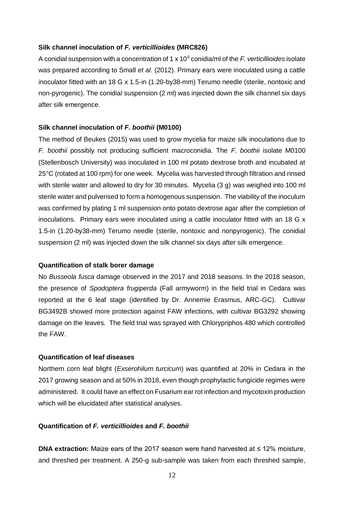#### **Silk channel inoculation of** *F. verticillioides* **(MRC826)**

A conidial suspension with a concentration of 1 x 10<sup>6</sup> conidia/ml of the *F. verticillioides* isolate was prepared according to Small *et al*. (2012). Primary ears were inoculated using a cattle inoculator fitted with an 18 G x 1.5-in (1.20-by38-mm) Terumo needle (sterile, nontoxic and non-pyrogenic). The conidial suspension (2 ml) was injected down the silk channel six days after silk emergence.

#### **Silk channel inoculation of** *F. boothii* **(M0100)**

The method of Beukes (2015) was used to grow mycelia for maize silk inoculations due to *F. boothii* possibly not producing sufficient macroconidia. The *F. boothii* isolate M0100 (Stellenbosch University) was inoculated in 100 ml potato dextrose broth and incubated at 25°C (rotated at 100 rpm) for one week. Mycelia was harvested through filtration and rinsed with sterile water and allowed to dry for 30 minutes. Mycelia (3 g) was weighed into 100 ml sterile water and pulverised to form a homogenous suspension. The viability of the inoculum was confirmed by plating 1 ml suspension onto potato dextrose agar after the completion of inoculations. Primary ears were inoculated using a cattle inoculator fitted with an 18 G x 1.5-in (1.20-by38-mm) Terumo needle (sterile, nontoxic and nonpyrogenic). The conidial suspension (2 ml) was injected down the silk channel six days after silk emergence.

#### **Quantification of stalk borer damage**

No *Busseola fusca* damage observed in the 2017 and 2018 seasons. In the 2018 season, the presence of *Spodoptera frugiperda* (Fall armyworm) in the field trial in Cedara was reported at the 6 leaf stage (identified by Dr. Annemie Erasmus, ARC-GC). Cultivar BG3492B showed more protection against FAW infections, with cultivar BG3292 showing damage on the leaves. The field trial was sprayed with Chlorypriphos 480 which controlled the FAW.

## **Quantification of leaf diseases**

Northern corn leaf blight (*Exserohilum turcicum*) was quantified at 20% in Cedara in the 2017 growing season and at 50% in 2018, even though prophylactic fungicide regimes were administered. It could have an effect on Fusarium ear rot infection and mycotoxin production which will be elucidated after statistical analyses.

#### **Quantification of** *F. verticillioides* **and** *F. boothii*

**DNA extraction:** Maize ears of the 2017 season were hand harvested at ≤ 12% moisture, and threshed per treatment. A 250-g sub-sample was taken from each threshed sample,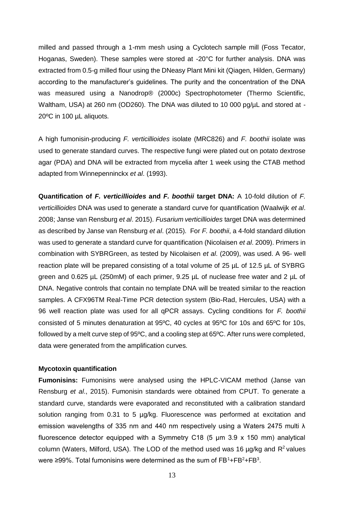milled and passed through a 1-mm mesh using a Cyclotech sample mill (Foss Tecator, Hoganas, Sweden). These samples were stored at -20°C for further analysis. DNA was extracted from 0.5-g milled flour using the DNeasy Plant Mini kit (Qiagen, Hilden, Germany) according to the manufacturer's guidelines. The purity and the concentration of the DNA was measured using a Nanodrop® (2000c) Spectrophotometer (Thermo Scientific, Waltham, USA) at 260 nm (OD260). The DNA was diluted to 10 000 pg/uL and stored at -20ºC in 100 µL aliquots.

A high fumonisin-producing *F. verticillioides* isolate (MRC826) and *F. boothii* isolate was used to generate standard curves. The respective fungi were plated out on potato dextrose agar (PDA) and DNA will be extracted from mycelia after 1 week using the CTAB method adapted from Winnepenninckx *et al*. (1993).

**Quantification of** *F. verticillioides* **and** *F. boothii* **target DNA:** A 10-fold dilution of *F. verticillioides* DNA was used to generate a standard curve for quantification (Waalwijk *et al*. 2008; Janse van Rensburg *et al*. 2015). *Fusarium verticillioides* target DNA was determined as described by Janse van Rensburg *et al*. (2015). For *F. boothii*, a 4-fold standard dilution was used to generate a standard curve for quantification (Nicolaisen *et al*. 2009). Primers in combination with SYBRGreen, as tested by Nicolaisen *et al*. (2009), was used. A 96- well reaction plate will be prepared consisting of a total volume of 25 µL of 12.5 µL of SYBRG green and 0.625 µL (250mM) of each primer, 9.25 µL of nuclease free water and 2 µL of DNA. Negative controls that contain no template DNA will be treated similar to the reaction samples. A CFX96TM Real-Time PCR detection system (Bio-Rad, Hercules, USA) with a 96 well reaction plate was used for all qPCR assays. Cycling conditions for *F. boothii* consisted of 5 minutes denaturation at 95ºC, 40 cycles at 95ºC for 10s and 65ºC for 10s, followed by a melt curve step of 95ºC, and a cooling step at 65ºC. After runs were completed, data were generated from the amplification curves.

#### **Mycotoxin quantification**

**Fumonisins:** Fumonisins were analysed using the HPLC-VICAM method (Janse van Rensburg *et al*., 2015). Fumonisin standards were obtained from CPUT. To generate a standard curve, standards were evaporated and reconstituted with a calibration standard solution ranging from 0.31 to 5 µg/kg. Fluorescence was performed at excitation and emission wavelengths of 335 nm and 440 nm respectively using a Waters 2475 multi λ fluorescence detector equipped with a Symmetry C18 (5 μm 3.9 x 150 mm) analytical column (Waters, Milford, USA). The LOD of the method used was 16  $\mu$ g/kg and R<sup>2</sup> values were ≥99%. Total fumonisins were determined as the sum of  $\mathsf{FB^1}\text{+FB^2}\text{+FB^3}.$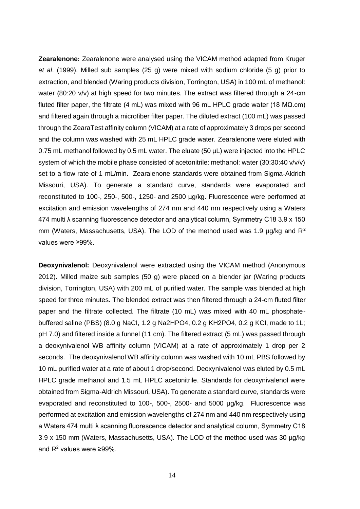**Zearalenone:** Zearalenone were analysed using the VICAM method adapted from Kruger *et al*. (1999). Milled sub samples (25 g) were mixed with sodium chloride (5 g) prior to extraction, and blended (Waring products division, Torrington, USA) in 100 mL of methanol: water (80:20 v/v) at high speed for two minutes. The extract was filtered through a 24-cm fluted filter paper, the filtrate (4 mL) was mixed with 96 mL HPLC grade water (18 M $\Omega$ .cm) and filtered again through a microfiber filter paper. The diluted extract (100 mL) was passed through the ZearaTest affinity column (VICAM) at a rate of approximately 3 drops per second and the column was washed with 25 mL HPLC grade water. Zearalenone were eluted with 0.75 mL methanol followed by 0.5 mL water. The eluate (50 µL) were injected into the HPLC system of which the mobile phase consisted of acetonitrile: methanol: water (30:30:40 v/v/v) set to a flow rate of 1 mL/min. Zearalenone standards were obtained from Sigma-Aldrich Missouri, USA). To generate a standard curve, standards were evaporated and reconstituted to 100-, 250-, 500-, 1250- and 2500 µg/kg. Fluorescence were performed at excitation and emission wavelengths of 274 nm and 440 nm respectively using a Waters 474 multi λ scanning fluorescence detector and analytical column, Symmetry C18 3.9 x 150 mm (Waters, Massachusetts, USA). The LOD of the method used was 1.9  $\mu$ g/kg and R<sup>2</sup> values were ≥99%.

**Deoxynivalenol:** Deoxynivalenol were extracted using the VICAM method (Anonymous 2012). Milled maize sub samples (50 g) were placed on a blender jar (Waring products division, Torrington, USA) with 200 mL of purified water. The sample was blended at high speed for three minutes. The blended extract was then filtered through a 24-cm fluted filter paper and the filtrate collected. The filtrate (10 mL) was mixed with 40 mL phosphatebuffered saline (PBS) (8.0 g NaCI, 1.2 g Na2HPO4, 0.2 g KH2PO4, 0.2 g KCI, made to 1L; pH 7.0) and filtered inside a funnel (11 cm). The filtered extract (5 mL) was passed through a deoxynivalenol WB affinity column (VICAM) at a rate of approximately 1 drop per 2 seconds. The deoxynivalenol WB affinity column was washed with 10 mL PBS followed by 10 mL purified water at a rate of about 1 drop/second. Deoxynivalenol was eluted by 0.5 mL HPLC grade methanol and 1.5 mL HPLC acetonitrile. Standards for deoxynivalenol were obtained from Sigma-Aldrich Missouri, USA). To generate a standard curve, standards were evaporated and reconstituted to 100-, 500-, 2500- and 5000 µg/kg. Fluorescence was performed at excitation and emission wavelengths of 274 nm and 440 nm respectively using a Waters 474 multi λ scanning fluorescence detector and analytical column, Symmetry C18 3.9 x 150 mm (Waters, Massachusetts, USA). The LOD of the method used was 30 µg/kg and  $R^2$  values were ≥99%.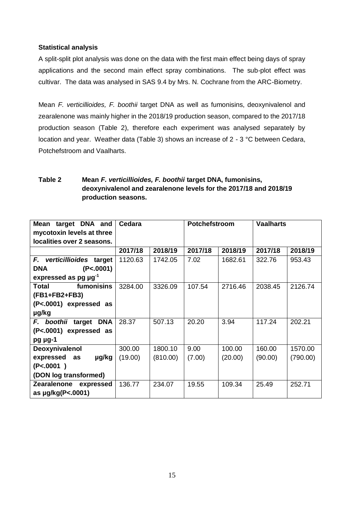## **Statistical analysis**

A split-split plot analysis was done on the data with the first main effect being days of spray applications and the second main effect spray combinations. The sub-plot effect was cultivar. The data was analysed in SAS 9.4 by Mrs. N. Cochrane from the ARC-Biometry.

Mean *F. verticillioides, F. boothii* target DNA as well as fumonisins, deoxynivalenol and zearalenone was mainly higher in the 2018/19 production season, compared to the 2017/18 production season (Table 2), therefore each experiment was analysed separately by location and year. Weather data (Table 3) shows an increase of 2 - 3 °C between Cedara, Potchefstroom and Vaalharts.

## **Table 2 Mean** *F. verticillioides, F. boothii* **target DNA, fumonisins, deoxynivalenol and zearalenone levels for the 2017/18 and 2018/19 production seasons.**

| target DNA and<br>Mean                | Cedara  |          | Potchefstroom |         | <b>Vaalharts</b> |          |
|---------------------------------------|---------|----------|---------------|---------|------------------|----------|
| mycotoxin levels at three             |         |          |               |         |                  |          |
| localities over 2 seasons.            |         |          |               |         |                  |          |
|                                       | 2017/18 | 2018/19  | 2017/18       | 2018/19 | 2017/18          | 2018/19  |
| F. verticillioides target             | 1120.63 | 1742.05  | 7.02          | 1682.61 | 322.76           | 953.43   |
| (P<.0001)<br><b>DNA</b>               |         |          |               |         |                  |          |
| expressed as pg $\mu$ g <sup>-1</sup> |         |          |               |         |                  |          |
| fumonisins<br><b>Total</b>            | 3284.00 | 3326.09  | 107.54        | 2716.46 | 2038.45          | 2126.74  |
| (FB1+FB2+FB3)                         |         |          |               |         |                  |          |
| (P<.0001) expressed as                |         |          |               |         |                  |          |
| µg/kg                                 |         |          |               |         |                  |          |
| F. boothii target<br><b>DNA</b>       | 28.37   | 507.13   | 20.20         | 3.94    | 117.24           | 202.21   |
| (P<.0001) expressed as                |         |          |               |         |                  |          |
| pg µg-1                               |         |          |               |         |                  |          |
| Deoxynivalenol                        | 300.00  | 1800.10  | 9.00          | 100.00  | 160.00           | 1570.00  |
| expressed as<br>µg/kg                 | (19.00) | (810.00) | (7.00)        | (20.00) | (90.00)          | (790.00) |
| (P<.0001)                             |         |          |               |         |                  |          |
| (DON log transformed)                 |         |          |               |         |                  |          |
| Zearalenone expressed                 | 136.77  | 234.07   | 19.55         | 109.34  | 25.49            | 252.71   |
| as µg/kg(P<.0001)                     |         |          |               |         |                  |          |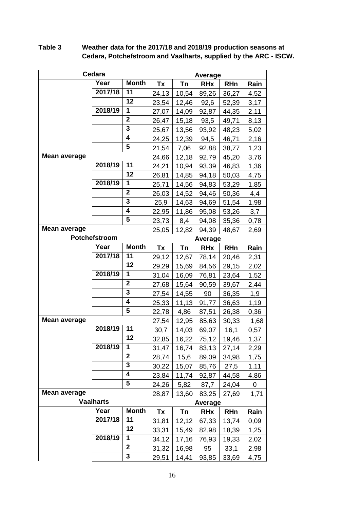|                     | Cedara        |                         | Average |                |            |            |                |
|---------------------|---------------|-------------------------|---------|----------------|------------|------------|----------------|
|                     | Year          | <b>Month</b>            | Tx      | Tn             | <b>RHx</b> | <b>RHn</b> | Rain           |
|                     | 2017/18       | 11                      | 24,13   | 10,54          | 89,26      | 36,27      | 4,52           |
|                     |               | 12                      | 23,54   | 12,46          | 92,6       | 52,39      | 3,17           |
|                     | 2018/19       | 1                       | 27,07   | 14,09          | 92,87      | 44,35      | 2,11           |
|                     |               | $\mathbf{2}$            | 26,47   | 15,18          | 93,5       | 49,71      | 8,13           |
|                     |               | 3                       | 25,67   | 13,56          | 93,92      | 48,23      | 5,02           |
|                     |               | 4                       | 24,25   | 12,39          | 94,5       | 46,71      | 2,16           |
|                     |               | 5                       | 21,54   | 7,06           | 92,88      | 38,77      | 1,23           |
| <b>Mean average</b> |               |                         | 24,66   | 12,18          | 92.79      | 45,20      | 3,76           |
|                     | 2018/19       | 11                      | 24,21   | 10,94          | 93,39      | 46,83      | 1,36           |
|                     |               | 12                      | 26,81   | 14,85          | 94,18      | 50,03      | 4,75           |
|                     | 2018/19       | 1                       | 25,71   | 14,56          | 94,83      | 53,29      | 1,85           |
|                     |               | $\overline{\mathbf{2}}$ | 26,03   | 14,52          | 94,46      | 50,36      | 4,4            |
|                     |               | 3                       | 25,9    | 14,63          | 94,69      | 51,54      | 1,98           |
|                     |               | 4                       | 22,95   | 11,86          | 95,08      | 53,26      | 3,7            |
|                     |               | 5                       | 23,73   | 8,4            | 94,08      | 35,36      | 0,78           |
| Mean average        |               | 25,05                   | 12,82   | 94,39          | 48,67      | 2,69       |                |
|                     | Potchefstroom |                         |         | <b>Average</b> |            |            |                |
|                     | Year          | <b>Month</b>            | Tx      | Tn             | <b>RHx</b> | <b>RHn</b> | Rain           |
|                     | 2017/18       | 11                      | 29,12   | 12,67          | 78,14      | 20,46      | 2,31           |
|                     |               | 12                      | 29,29   | 15,69          | 84,56      | 29,15      | 2,02           |
|                     | 2018/19       | 1                       | 31,04   | 16,09          | 76,81      | 23,64      | 1,52           |
|                     |               | $\overline{2}$          | 27,68   | 15,64          | 90,59      | 39,67      | 2,44           |
|                     |               | 3                       | 27,54   | 14,55          | 90         | 36,35      | 1,9            |
|                     |               | 4                       | 25,33   | 11,13          | 91,77      | 36,63      | 1,19           |
|                     |               | 5                       | 22,78   | 4,86           | 87,51      | 26,38      | 0,36           |
| Mean average        |               |                         | 27,54   | 12,95          | 85,63      | 30,33      | 1,68           |
|                     | 2018/19       | 11                      | 30,7    | 14,03          | 69,07      | 16,1       | 0,57           |
|                     |               | 12                      | 32,85   | 16,22          | 75,12      | 19,46      | 1,37           |
|                     | 2018/19       | 1                       | 31,47   | 16,74          | 83,13      | 27,14      | 2,29           |
|                     |               | $\mathbf{2}$            | 28,74   | 15,6           | 89,09      | 34,98      | 1,75           |
|                     |               | 3                       | 30,22   | 15,07          | 85,76      | 27,5       | 1,11           |
|                     |               | 4                       | 23,84   | 11,74          | 92,87      | 44,58      | 4,86           |
|                     |               | 5                       | 24,26   | 5,82           | 87,7       | 24,04      | $\overline{0}$ |
| <b>Mean average</b> |               |                         | 28,87   | 13,60          | 83,25      | 27,69      | 1,71           |
| <b>Vaalharts</b>    |               |                         |         | <b>Average</b> |            |            |                |
|                     | Year          | <b>Month</b>            | Tx      | <b>Tn</b>      | <b>RHx</b> | <b>RHn</b> | Rain           |
|                     | 2017/18       | 11                      | 31,81   | 12,12          | 67,33      | 13,74      | 0,09           |
|                     |               | 12                      | 33,31   | 15,49          | 82,98      | 18,39      | 1,25           |
|                     | 2018/19       | 1                       | 34,12   | 17,16          | 76,93      | 19,33      | 2,02           |
|                     |               | $\overline{2}$          | 31,32   | 16,98          | 95         | 33,1       | 2,98           |
|                     |               | 3                       | 29,51   | 14,41          | 93,85      | 33,69      | 4,75           |

## **Table 3 Weather data for the 2017/18 and 2018/19 production seasons at Cedara, Potchefstroom and Vaalharts, supplied by the ARC - ISCW.**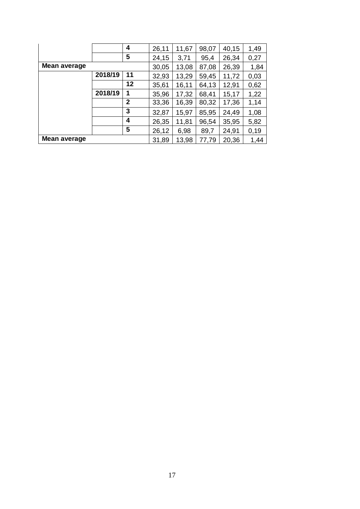|                     |         | 4            | 26,11 | 11,67 | 98,07 | 40,15 | 1,49 |
|---------------------|---------|--------------|-------|-------|-------|-------|------|
|                     |         | 5            | 24,15 | 3,71  | 95,4  | 26,34 | 0,27 |
| <b>Mean average</b> |         |              | 30,05 | 13,08 | 87,08 | 26,39 | 1,84 |
|                     | 2018/19 | 11           | 32,93 | 13,29 | 59,45 | 11,72 | 0,03 |
|                     |         | 12           | 35,61 | 16,11 | 64,13 | 12,91 | 0,62 |
|                     | 2018/19 | 1            | 35,96 | 17,32 | 68,41 | 15,17 | 1,22 |
|                     |         | $\mathbf{2}$ | 33,36 | 16,39 | 80,32 | 17,36 | 1,14 |
|                     |         | 3            | 32,87 | 15,97 | 85,95 | 24,49 | 1,08 |
|                     |         | 4            | 26,35 | 11,81 | 96,54 | 35,95 | 5,82 |
|                     |         | 5            | 26,12 | 6,98  | 89,7  | 24,91 | 0,19 |
| <b>Mean average</b> |         |              | 31,89 | 13,98 | 77,79 | 20,36 | 1,44 |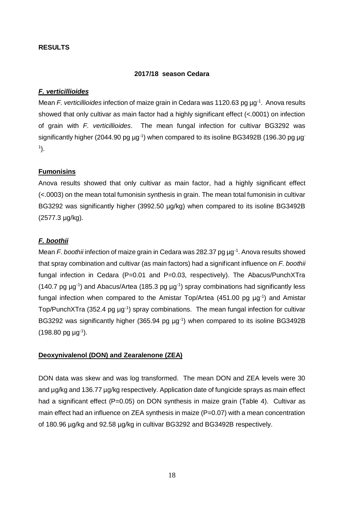## **RESULTS**

### **2017/18 season Cedara**

### *F. verticillioides*

Mean *F. verticillioides* infection of maize grain in Cedara was 1120.63 pg µg<sup>-1</sup>. Anova results showed that only cultivar as main factor had a highly significant effect (<.0001) on infection of grain with *F. verticillioides*. The mean fungal infection for cultivar BG3292 was significantly higher (2044.90 pg  $\mu$ g<sup>-1</sup>) when compared to its isoline BG3492B (196.30 pg  $\mu$ g 1 ).

### **Fumonisins**

Anova results showed that only cultivar as main factor, had a highly significant effect (<.0003) on the mean total fumonisin synthesis in grain. The mean total fumonisin in cultivar BG3292 was significantly higher (3992.50 µg/kg) when compared to its isoline BG3492B (2577.3 µg/kg).

## *F. boothii*

Mean *F. boothii* infection of maize grain in Cedara was 282.37 pg µg<sup>-1</sup>. Anova results showed that spray combination and cultivar (as main factors) had a significant influence on *F. boothii* fungal infection in Cedara (P=0.01 and P=0.03, respectively). The Abacus/PunchXTra (140.7 pg  $\mu$ g<sup>-1</sup>) and Abacus/Artea (185.3 pg  $\mu$ g<sup>-1</sup>) spray combinations had significantly less fungal infection when compared to the Amistar Top/Artea (451.00 pg  $\mu$ g<sup>-1</sup>) and Amistar Top/PunchXTra (352.4 pg µg<sup>-1</sup>) spray combinations. The mean fungal infection for cultivar BG3292 was significantly higher (365.94 pg µg<sup>-1</sup>) when compared to its isoline BG3492B  $(198.80 \text{ pg} \text{ µg}^{-1}).$ 

### **Deoxynivalenol (DON) and Zearalenone (ZEA)**

DON data was skew and was log transformed. The mean DON and ZEA levels were 30 and ug/kg and 136.77 ug/kg respectively. Application date of fungicide sprays as main effect had a significant effect ( $P=0.05$ ) on DON synthesis in maize grain (Table 4). Cultivar as main effect had an influence on ZEA synthesis in maize (P=0.07) with a mean concentration of 180.96 µg/kg and 92.58 µg/kg in cultivar BG3292 and BG3492B respectively.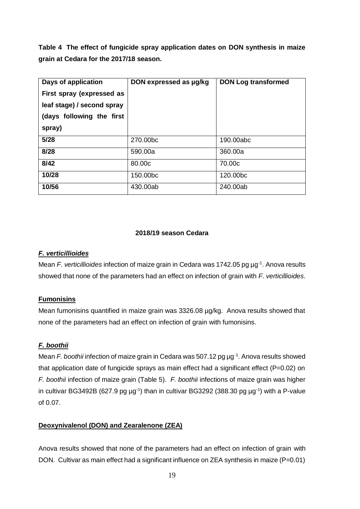**Table 4 The effect of fungicide spray application dates on DON synthesis in maize grain at Cedara for the 2017/18 season.**

| Days of application        | DON expressed as µg/kg | <b>DON Log transformed</b> |
|----------------------------|------------------------|----------------------------|
| First spray (expressed as  |                        |                            |
| leaf stage) / second spray |                        |                            |
| (days following the first  |                        |                            |
| spray)                     |                        |                            |
| 5/28                       | 270,00bc               | 190.00abc                  |
| 8/28                       | 590,00a                | 360,00a                    |
| 8/42                       | 80,00c                 | 70.00c                     |
| 10/28                      | 150.00bc               | 120,00bc                   |
| 10/56                      | 430.00ab               | 240,00ab                   |

## **2018/19 season Cedara**

## *F. verticillioides*

Mean *F. verticillioides* infection of maize grain in Cedara was 1742.05 pg µg<sup>-1</sup>. Anova results showed that none of the parameters had an effect on infection of grain with *F. verticillioides*.

## **Fumonisins**

Mean fumonisins quantified in maize grain was 3326.08 µg/kg. Anova results showed that none of the parameters had an effect on infection of grain with fumonisins.

## *F. boothii*

Mean *F. boothii* infection of maize grain in Cedara was 507.12 pg µg<sup>-1</sup>. Anova results showed that application date of fungicide sprays as main effect had a significant effect (P=0.02) on *F. boothii* infection of maize grain (Table 5). *F. boothii* infections of maize grain was higher in cultivar BG3492B (627.9 pg  $\mu$ g<sup>-1</sup>) than in cultivar BG3292 (388.30 pg  $\mu$ g<sup>-1</sup>) with a P-value of  $0.07$ 

## **Deoxynivalenol (DON) and Zearalenone (ZEA)**

Anova results showed that none of the parameters had an effect on infection of grain with DON. Cultivar as main effect had a significant influence on ZEA synthesis in maize (P=0.01)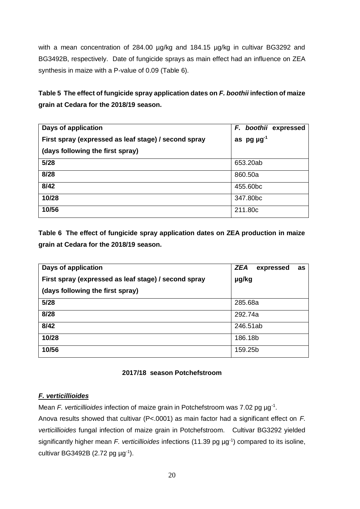with a mean concentration of 284.00 µg/kg and 184.15 µg/kg in cultivar BG3292 and BG3492B, respectively. Date of fungicide sprays as main effect had an influence on ZEA synthesis in maize with a P-value of 0.09 (Table 6).

## **Table 5 The effect of fungicide spray application dates on** *F. boothii* **infection of maize grain at Cedara for the 2018/19 season.**

| Days of application                                  | F. boothii expressed |
|------------------------------------------------------|----------------------|
| First spray (expressed as leaf stage) / second spray | as $pg \mu g^{-1}$   |
| (days following the first spray)                     |                      |
| 5/28                                                 | 653.20ab             |
| 8/28                                                 | 860.50a              |
| 8/42                                                 | 455.60bc             |
| 10/28                                                | 347.80bc             |
| 10/56                                                | 211.80c              |

**Table 6 The effect of fungicide spray application dates on ZEA production in maize grain at Cedara for the 2018/19 season.**

| Days of application                                  | <b>ZEA</b><br>expressed<br>as |
|------------------------------------------------------|-------------------------------|
| First spray (expressed as leaf stage) / second spray | µg/kg                         |
| (days following the first spray)                     |                               |
| 5/28                                                 | 285.68a                       |
| 8/28                                                 | 292.74a                       |
| 8/42                                                 | 246.51ab                      |
| 10/28                                                | 186.18b                       |
| 10/56                                                | 159.25b                       |

## **2017/18 season Potchefstroom**

## *F. verticillioides*

Mean *F. verticillioides* infection of maize grain in Potchefstroom was 7.02 pg µg<sup>-1</sup>.

Anova results showed that cultivar (P<.0001) as main factor had a significant effect on *F. verticillioides* fungal infection of maize grain in Potchefstroom. Cultivar BG3292 yielded significantly higher mean *F. verticillioides* infections (11.39 pg µg-1 ) compared to its isoline, cultivar BG3492B (2.72 pg  $\mu$ g<sup>-1</sup>).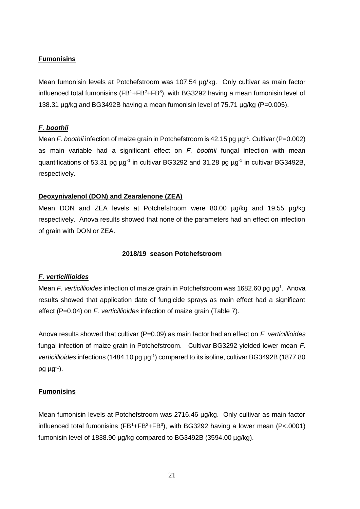#### **Fumonisins**

Mean fumonisin levels at Potchefstroom was 107.54 µg/kg. Only cultivar as main factor influenced total fumonisins  $(FB^1 + FB^2 + FB^3)$ , with BG3292 having a mean fumonisin level of 138.31 µg/kg and BG3492B having a mean fumonisin level of 75.71 µg/kg (P=0.005).

#### *F. boothii*

Mean *F. boothii* infection of maize grain in Potchefstroom is 42.15 pg µg<sup>-1</sup>. Cultivar (P=0.002) as main variable had a significant effect on *F. boothii* fungal infection with mean quantifications of 53.31 pg  $\mu$ g<sup>-1</sup> in cultivar BG3292 and 31.28 pg  $\mu$ g<sup>-1</sup> in cultivar BG3492B, respectively.

#### **Deoxynivalenol (DON) and Zearalenone (ZEA)**

Mean DON and ZEA levels at Potchefstroom were 80.00 µg/kg and 19.55 µg/kg respectively. Anova results showed that none of the parameters had an effect on infection of grain with DON or ZEA.

#### **2018/19 season Potchefstroom**

### *F. verticillioides*

Mean *F. verticillioides* infection of maize grain in Potchefstroom was 1682.60 pg µg<sup>1</sup>. Anova results showed that application date of fungicide sprays as main effect had a significant effect (P=0.04) on *F. verticillioides* infection of maize grain (Table 7).

Anova results showed that cultivar (P=0.09) as main factor had an effect on *F. verticillioides* fungal infection of maize grain in Potchefstroom. Cultivar BG3292 yielded lower mean *F.*  verticillioides infections (1484.10 pg µg<sup>-1</sup>) compared to its isoline, cultivar BG3492B (1877.80 pg  $\mu$ g<sup>-1</sup>).

#### **Fumonisins**

Mean fumonisin levels at Potchefstroom was 2716.46 µg/kg. Only cultivar as main factor influenced total fumonisins ( $FB^1+FB^2+FB^3$ ), with BG3292 having a lower mean ( $P<.0001$ ) fumonisin level of 1838.90 µg/kg compared to BG3492B (3594.00 µg/kg).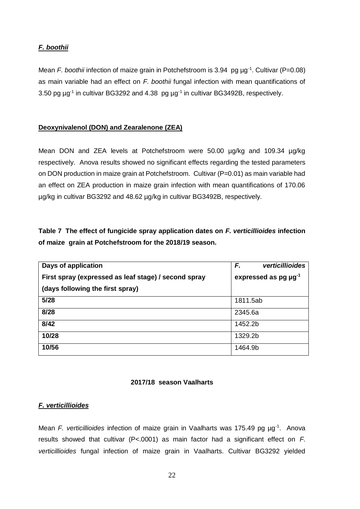## *F. boothii*

Mean *F. boothii* infection of maize grain in Potchefstroom is 3.94 pg µg<sup>-1</sup>. Cultivar (P=0.08) as main variable had an effect on *F. boothii* fungal infection with mean quantifications of 3.50 pg  $\mu$ g<sup>-1</sup> in cultivar BG3292 and 4.38 pg  $\mu$ g<sup>-1</sup> in cultivar BG3492B, respectively.

### **Deoxynivalenol (DON) and Zearalenone (ZEA)**

Mean DON and ZEA levels at Potchefstroom were 50.00 µg/kg and 109.34 µg/kg respectively. Anova results showed no significant effects regarding the tested parameters on DON production in maize grain at Potchefstroom. Cultivar (P=0.01) as main variable had an effect on ZEA production in maize grain infection with mean quantifications of 170.06 µg/kg in cultivar BG3292 and 48.62 µg/kg in cultivar BG3492B, respectively.

## **Table 7 The effect of fungicide spray application dates on** *F. verticillioides* **infection of maize grain at Potchefstroom for the 2018/19 season.**

| Days of application                                  | F.<br>verticillioides                 |
|------------------------------------------------------|---------------------------------------|
| First spray (expressed as leaf stage) / second spray | expressed as pg $\mu$ g <sup>-1</sup> |
| (days following the first spray)                     |                                       |
| 5/28                                                 | 1811.5ab                              |
| 8/28                                                 | 2345.6a                               |
| 8/42                                                 | 1452.2b                               |
| 10/28                                                | 1329.2b                               |
| 10/56                                                | 1464.9b                               |

### **2017/18 season Vaalharts**

### *F. verticillioides*

Mean *F. verticillioides* infection of maize grain in Vaalharts was 175.49 pg µg<sup>-1</sup>. Anova results showed that cultivar (P<.0001) as main factor had a significant effect on *F. verticillioides* fungal infection of maize grain in Vaalharts. Cultivar BG3292 yielded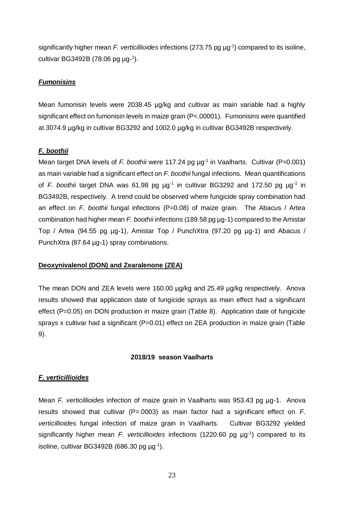significantly higher mean *F. verticillioides* infections (273.75 pg µg-1 ) compared to its isoline, cultivar BG3492B (78.06 pg µg-<sup>1</sup>).

#### *Fumonisins*

Mean fumonisin levels were 2038.45 µg/kg and cultivar as main variable had a highly significant effect on fumonisin levels in maize grain (P<.00001). Fumonisins were quantified at 3074.9 µg/kg in cultivar BG3292 and 1002.0 µg/kg in cultivar BG3492B respectively.

#### *F. boothii*

Mean target DNA levels of *F. boothii* were 117.24 pg µg<sup>-1</sup> in Vaalharts. Cultivar (P=0.001) as main variable had a significant effect on *F. boothii* fungal infections. Mean quantifications of F. boothii target DNA was 61.98 pg µg<sup>-1</sup> in cultivar BG3292 and 172.50 pg µg<sup>-1</sup> in BG3492B, respectively. A trend could be observed where fungicide spray combination had an effect on *F. boothii* fungal infections (P=0.08) of maize grain. The Abacus / Artea combination had higher mean *F. boothii* infections (189.58 pg µg-1) compared to the Amistar Top / Artea (94.55 pg µg-1), Amistar Top / PunchXtra (97.20 pg µg-1) and Abacus / PunchXtra (87.64 µg-1) spray combinations.

#### **Deoxynivalenol (DON) and Zearalenone (ZEA)**

The mean DON and ZEA levels were 160.00 ug/kg and 25.49 ug/kg respectively. Anova results showed that application date of fungicide sprays as main effect had a significant effect (P=0.05) on DON production in maize grain (Table 8). Application date of fungicide sprays x cultivar had a significant (P=0.01) effect on ZEA production in maize grain (Table 9).

#### **2018/19 season Vaalharts**

#### *F. verticillioides*

Mean *F. verticillioides* infection of maize grain in Vaalharts was 953.43 pg µg-1. Anova results showed that cultivar (P=.0003) as main factor had a significant effect on *F. verticillioides* fungal infection of maize grain in Vaalharts. Cultivar BG3292 yielded significantly higher mean *F. verticillioides* infections (1220.60 pg µg<sup>-1</sup>) compared to its isoline, cultivar BG3492B (686.30 pg  $\mu$ g<sup>-1</sup>).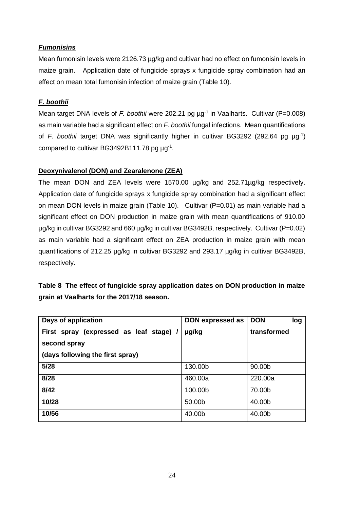## *Fumonisins*

Mean fumonisin levels were 2126.73 µg/kg and cultivar had no effect on fumonisin levels in maize grain. Application date of fungicide sprays x fungicide spray combination had an effect on mean total fumonisin infection of maize grain (Table 10).

## *F. boothii*

Mean target DNA levels of *F. boothii* were 202.21 pg µg<sup>-1</sup> in Vaalharts. Cultivar (P=0.008) as main variable had a significant effect on *F. boothii* fungal infections. Mean quantifications of *F. boothii* target DNA was significantly higher in cultivar BG3292 (292.64 pg µg-1 ) compared to cultivar BG3492B111.78 pg µg<sup>-1</sup>.

## **Deoxynivalenol (DON) and Zearalenone (ZEA)**

The mean DON and ZEA levels were 1570.00 µg/kg and 252.71µg/kg respectively. Application date of fungicide sprays x fungicide spray combination had a significant effect on mean DON levels in maize grain (Table 10). Cultivar (P=0.01) as main variable had a significant effect on DON production in maize grain with mean quantifications of 910.00 µg/kg in cultivar BG3292 and 660 µg/kg in cultivar BG3492B, respectively. Cultivar (P=0.02) as main variable had a significant effect on ZEA production in maize grain with mean quantifications of 212.25 µg/kg in cultivar BG3292 and 293.17 µg/kg in cultivar BG3492B, respectively.

## **Table 8 The effect of fungicide spray application dates on DON production in maize grain at Vaalharts for the 2017/18 season.**

| Days of application                     | DON expressed as | <b>DON</b><br>log |
|-----------------------------------------|------------------|-------------------|
| First spray (expressed as leaf stage) / | µg/kg            | transformed       |
| second spray                            |                  |                   |
| (days following the first spray)        |                  |                   |
| 5/28                                    | 130.00b          | 90.00b            |
| 8/28                                    | 460.00a          | 220,00a           |
| 8/42                                    | 100.00b          | 70.00b            |
| 10/28                                   | 50.00b           | 40.00b            |
| 10/56                                   | 40.00b           | 40.00b            |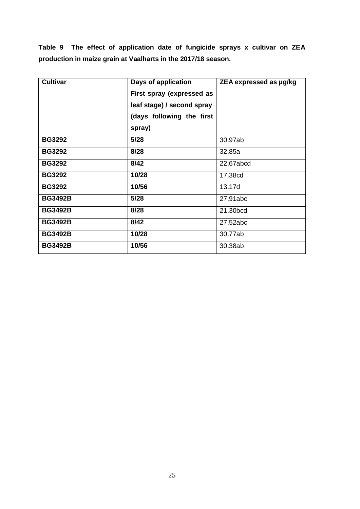**Table 9 The effect of application date of fungicide sprays x cultivar on ZEA production in maize grain at Vaalharts in the 2017/18 season.**

| <b>Cultivar</b> | Days of application        | ZEA expressed as µg/kg |
|-----------------|----------------------------|------------------------|
|                 | First spray (expressed as  |                        |
|                 | leaf stage) / second spray |                        |
|                 | (days following the first  |                        |
|                 | spray)                     |                        |
| <b>BG3292</b>   | 5/28                       | 30.97ab                |
| <b>BG3292</b>   | 8/28                       | 32.85a                 |
| <b>BG3292</b>   | 8/42                       | 22.67abcd              |
| <b>BG3292</b>   | 10/28                      | 17.38cd                |
| <b>BG3292</b>   | 10/56                      | 13.17d                 |
| <b>BG3492B</b>  | 5/28                       | 27.91abc               |
| <b>BG3492B</b>  | 8/28                       | 21.30bcd               |
| <b>BG3492B</b>  | 8/42                       | 27.52abc               |
| <b>BG3492B</b>  | 10/28                      | 30.77ab                |
| <b>BG3492B</b>  | 10/56                      | 30.38ab                |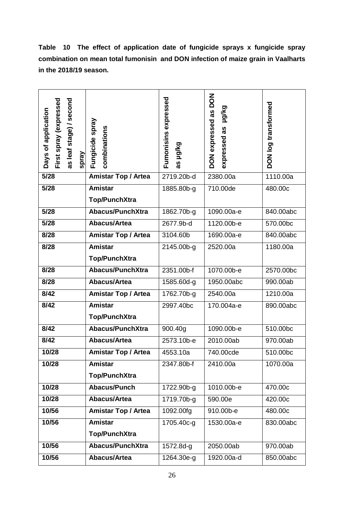**Table 10 The effect of application date of fungicide sprays x fungicide spray combination on mean total fumonisin and DON infection of maize grain in Vaalharts in the 2018/19 season.**

| First spray (expressed<br>as leaf stage) / second<br>Days of application<br>spray | Fungicide spray<br>combinations | Fumonisins expressed<br>paylon<br>as | <b>NOQ</b><br><b>Halka</b><br>DON expressed as<br>expressed as | DON log transformed |
|-----------------------------------------------------------------------------------|---------------------------------|--------------------------------------|----------------------------------------------------------------|---------------------|
| $5/28$                                                                            | <b>Amistar Top / Artea</b>      | 2719.20b-d                           | 2380.00a                                                       | 1110.00a            |
| 5/28                                                                              | <b>Amistar</b>                  | 1885.80b-g                           | 710.00de                                                       | 480.00c             |
|                                                                                   | <b>Top/PunchXtra</b>            |                                      |                                                                |                     |
| 5/28                                                                              | <b>Abacus/PunchXtra</b>         | 1862.70b-g                           | 1090.00a-e                                                     | 840.00abc           |
| 5/28                                                                              | <b>Abacus/Artea</b>             | 2677.9b-d                            | 1120.00b-e                                                     | 570.00bc            |
| 8/28                                                                              | <b>Amistar Top / Artea</b>      | 3104.60b                             | 1690.00a-e                                                     | 840.00abc           |
| 8/28                                                                              | <b>Amistar</b>                  | 2145.00b-g                           | 2520.00a                                                       | 1180.00a            |
|                                                                                   | <b>Top/PunchXtra</b>            |                                      |                                                                |                     |
| 8/28                                                                              | <b>Abacus/PunchXtra</b>         | 2351.00b-f                           | 1070.00b-e                                                     | 2570.00bc           |
| 8/28                                                                              | <b>Abacus/Artea</b>             | 1585.60d-g                           | 1950.00abc                                                     | 990.00ab            |
| 8/42                                                                              | Amistar Top / Artea             | 1762.70b-g                           | 2540.00a                                                       | 1210.00a            |
| 8/42                                                                              | Amistar                         | 2997.40bc                            | 170.004a-e                                                     | 890.00abc           |
|                                                                                   | <b>Top/PunchXtra</b>            |                                      |                                                                |                     |
| 8/42                                                                              | <b>Abacus/PunchXtra</b>         | 900.40g                              | 1090.00b-e                                                     | 510.00bc            |
| 8/42                                                                              | <b>Abacus/Artea</b>             | 2573.10b-e                           | 2010.00ab                                                      | 970.00ab            |
| 10/28                                                                             | <b>Amistar Top / Artea</b>      | 4553.10a                             | 740.00cde                                                      | 510.00bc            |
| 10/28                                                                             | <b>Amistar</b>                  | 2347.80b-f                           | 2410.00a                                                       | 1070.00a            |
|                                                                                   | <b>Top/PunchXtra</b>            |                                      |                                                                |                     |
| 10/28                                                                             | Abacus/Punch                    | 1722.90b-g                           | 1010.00b-e                                                     | 470.00c             |
| 10/28                                                                             | <b>Abacus/Artea</b>             | 1719.70b-g                           | 590.00e                                                        | 420.00c             |
| 10/56                                                                             | <b>Amistar Top / Artea</b>      | 1092.00fg                            | 910.00b-e                                                      | 480.00c             |
| 10/56                                                                             | <b>Amistar</b>                  | 1705.40c-g                           | 1530.00a-e                                                     | 830.00abc           |
|                                                                                   | <b>Top/PunchXtra</b>            |                                      |                                                                |                     |
| 10/56                                                                             | <b>Abacus/PunchXtra</b>         | 1572.8d-g                            | 2050.00ab                                                      | 970.00ab            |
| 10/56                                                                             | <b>Abacus/Artea</b>             | 1264.30e-g                           | 1920.00a-d                                                     | 850.00abc           |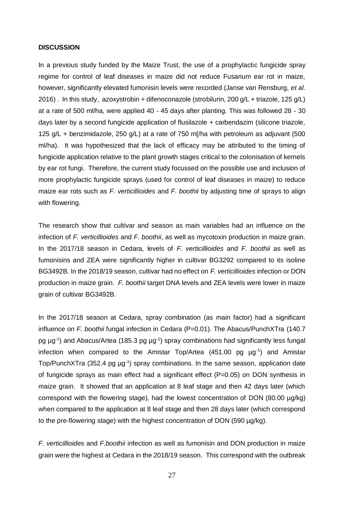#### **DISCUSSION**

In a previous study funded by the Maize Trust, the use of a prophylactic fungicide spray regime for control of leaf diseases in maize did not reduce Fusarium ear rot in maize, however, significantly elevated fumonisin levels were recorded (Janse van Rensburg, *et al*. 2016) . In this study, azoxystrobin + difenoconazole (strobilurin, 200 g/L + triazole, 125 g/L) at a rate of 500 ml/ha, were applied 40 - 45 days after planting. This was followed 28 - 30 days later by a second fungicide application of flusilazole + carbendazim (silicone triazole, 125 g/L + benzimidazole, 250 g/L) at a rate of 750 m[/ha with petroleum as adjuvant (500 ml/ha). It was hypothesized that the lack of efficacy may be attributed to the timing of fungicide application relative to the plant growth stages critical to the colonisation of kernels by ear rot fungi. Therefore, the current study focussed on the possible use and inclusion of more prophylactic fungicide sprays (used for control of leaf diseases in maize) to reduce maize ear rots such as *F. verticillioides* and *F. boothii* by adjusting time of sprays to align with flowering.

The research show that cultivar and season as main variables had an influence on the infection of *F. verticillioides* and *F. boothii*, as well as mycotoxin production in maize grain. In the 2017/18 season in Cedara, levels of *F. verticillioides* and *F. boothii* as well as fumonisins and ZEA were significantly higher in cultivar BG3292 compared to its isoline BG3492B. In the 2018/19 season, cultivar had no effect on *F. verticillioides* infection or DON production in maize grain. *F. boothii* target DNA levels and ZEA levels were lower in maize grain of cultivar BG3492B.

In the 2017/18 season at Cedara, spray combination (as main factor) had a significant influence on *F. boothii* fungal infection in Cedara (P=0.01). The Abacus/PunchXTra (140.7 pg μg<sup>-1</sup>) and Abacus/Artea (185.3 pg μg<sup>-1</sup>) spray combinations had significantly less fungal infection when compared to the Amistar Top/Artea  $(451.00$  pg  $\mu g^{-1})$  and Amistar Top/PunchXTra (352.4 pg µg<sup>-1</sup>) spray combinations. In the same season, application date of fungicide sprays as main effect had a significant effect (P=0.05) on DON synthesis in maize grain. It showed that an application at 8 leaf stage and then 42 days later (which correspond with the flowering stage), had the lowest concentration of DON (80.00 µg/kg) when compared to the application at 8 leaf stage and then 28 days later (which correspond to the pre-flowering stage) with the highest concentration of DON (590 µg/kg).

*F. verticillioides* and *F.boothii* infection as well as fumonisin and DON production in maize grain were the highest at Cedara in the 2018/19 season. This correspond with the outbreak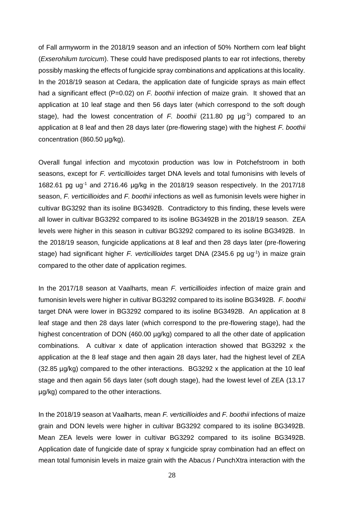of Fall armyworm in the 2018/19 season and an infection of 50% Northern corn leaf blight (*Exserohilum turcicum*). These could have predisposed plants to ear rot infections, thereby possibly masking the effects of fungicide spray combinations and applications at this locality. In the 2018/19 season at Cedara, the application date of fungicide sprays as main effect had a significant effect (P=0.02) on *F. boothii* infection of maize grain. It showed that an application at 10 leaf stage and then 56 days later (which correspond to the soft dough stage), had the lowest concentration of  $F$ . boothii (211.80 pg  $\mu g^{-1}$ ) compared to an application at 8 leaf and then 28 days later (pre-flowering stage) with the highest *F. boothii* concentration (860.50 µg/kg).

Overall fungal infection and mycotoxin production was low in Potchefstroom in both seasons, except for *F. verticillioides* target DNA levels and total fumonisins with levels of 1682.61 pg ug<sup>-1</sup> and 2716.46  $\mu$ g/kg in the 2018/19 season respectively. In the 2017/18 season, *F. verticillioides* and *F. boothii* infections as well as fumonisin levels were higher in cultivar BG3292 than its isoline BG3492B. Contradictory to this finding, these levels were all lower in cultivar BG3292 compared to its isoline BG3492B in the 2018/19 season. ZEA levels were higher in this season in cultivar BG3292 compared to its isoline BG3492B. In the 2018/19 season, fungicide applications at 8 leaf and then 28 days later (pre-flowering stage) had significant higher F. verticillioides target DNA (2345.6 pg ug<sup>-1</sup>) in maize grain compared to the other date of application regimes.

In the 2017/18 season at Vaalharts, mean *F. verticillioides* infection of maize grain and fumonisin levels were higher in cultivar BG3292 compared to its isoline BG3492B. *F. boothii* target DNA were lower in BG3292 compared to its isoline BG3492B. An application at 8 leaf stage and then 28 days later (which correspond to the pre-flowering stage), had the highest concentration of DON (460.00 µg/kg) compared to all the other date of application combinations. A cultivar x date of application interaction showed that BG3292 x the application at the 8 leaf stage and then again 28 days later, had the highest level of ZEA (32.85 µg/kg) compared to the other interactions. BG3292 x the application at the 10 leaf stage and then again 56 days later (soft dough stage), had the lowest level of ZEA (13.17 µg/kg) compared to the other interactions.

In the 2018/19 season at Vaalharts, mean *F. verticillioides* and *F. boothii* infections of maize grain and DON levels were higher in cultivar BG3292 compared to its isoline BG3492B. Mean ZEA levels were lower in cultivar BG3292 compared to its isoline BG3492B. Application date of fungicide date of spray x fungicide spray combination had an effect on mean total fumonisin levels in maize grain with the Abacus / PunchXtra interaction with the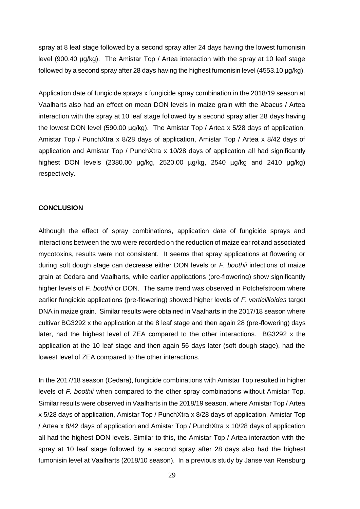spray at 8 leaf stage followed by a second spray after 24 days having the lowest fumonisin level (900.40 µg/kg). The Amistar Top / Artea interaction with the spray at 10 leaf stage followed by a second spray after 28 days having the highest fumonisin level (4553.10 µg/kg).

Application date of fungicide sprays x fungicide spray combination in the 2018/19 season at Vaalharts also had an effect on mean DON levels in maize grain with the Abacus / Artea interaction with the spray at 10 leaf stage followed by a second spray after 28 days having the lowest DON level (590.00 µg/kg). The Amistar Top / Artea x 5/28 days of application, Amistar Top / PunchXtra x 8/28 days of application, Amistar Top / Artea x 8/42 days of application and Amistar Top / PunchXtra x 10/28 days of application all had significantly highest DON levels (2380.00 µg/kg, 2520.00 µg/kg, 2540 µg/kg and 2410 µg/kg) respectively.

#### **CONCLUSION**

Although the effect of spray combinations, application date of fungicide sprays and interactions between the two were recorded on the reduction of maize ear rot and associated mycotoxins, results were not consistent. It seems that spray applications at flowering or during soft dough stage can decrease either DON levels or *F. boothii* infections of maize grain at Cedara and Vaalharts, while earlier applications (pre-flowering) show significantly higher levels of *F. boothii* or DON. The same trend was observed in Potchefstroom where earlier fungicide applications (pre-flowering) showed higher levels of *F. verticillioides* target DNA in maize grain. Similar results were obtained in Vaalharts in the 2017/18 season where cultivar BG3292 x the application at the 8 leaf stage and then again 28 (pre-flowering) days later, had the highest level of ZEA compared to the other interactions. BG3292 x the application at the 10 leaf stage and then again 56 days later (soft dough stage), had the lowest level of ZEA compared to the other interactions.

In the 2017/18 season (Cedara), fungicide combinations with Amistar Top resulted in higher levels of *F. boothii* when compared to the other spray combinations without Amistar Top. Similar results were observed in Vaalharts in the 2018/19 season, where Amistar Top / Artea x 5/28 days of application, Amistar Top / PunchXtra x 8/28 days of application, Amistar Top / Artea x 8/42 days of application and Amistar Top / PunchXtra x 10/28 days of application all had the highest DON levels. Similar to this, the Amistar Top / Artea interaction with the spray at 10 leaf stage followed by a second spray after 28 days also had the highest fumonisin level at Vaalharts (2018/10 season). In a previous study by Janse van Rensburg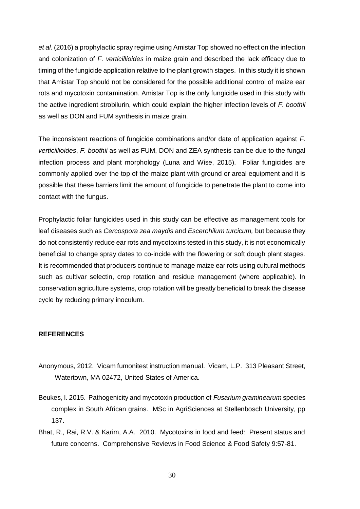*et al*. (2016) a prophylactic spray regime using Amistar Top showed no effect on the infection and colonization of *F. verticillioides* in maize grain and described the lack efficacy due to timing of the fungicide application relative to the plant growth stages. In this study it is shown that Amistar Top should not be considered for the possible additional control of maize ear rots and mycotoxin contamination. Amistar Top is the only fungicide used in this study with the active ingredient strobilurin, which could explain the higher infection levels of *F. boothii* as well as DON and FUM synthesis in maize grain.

The inconsistent reactions of fungicide combinations and/or date of application against *F. verticillioides*, *F. boothii* as well as FUM, DON and ZEA synthesis can be due to the fungal infection process and plant morphology (Luna and Wise, 2015). Foliar fungicides are commonly applied over the top of the maize plant with ground or areal equipment and it is possible that these barriers limit the amount of fungicide to penetrate the plant to come into contact with the fungus.

Prophylactic foliar fungicides used in this study can be effective as management tools for leaf diseases such as *Cercospora zea maydis* and *Escerohilum turcicum,* but because they do not consistently reduce ear rots and mycotoxins tested in this study, it is not economically beneficial to change spray dates to co-incide with the flowering or soft dough plant stages. It is recommended that producers continue to manage maize ear rots using cultural methods such as cultivar selectin, crop rotation and residue management (where applicable). In conservation agriculture systems, crop rotation will be greatly beneficial to break the disease cycle by reducing primary inoculum.

## **REFERENCES**

- Anonymous, 2012. Vicam fumonitest instruction manual. Vicam, L.P. 313 Pleasant Street, Watertown, MA 02472, United States of America.
- Beukes, I. 2015. Pathogenicity and mycotoxin production of *Fusarium graminearum* species complex in South African grains. MSc in AgriSciences at Stellenbosch University, pp 137.
- Bhat, R., Rai, R.V. & Karim, A.A. 2010. Mycotoxins in food and feed: Present status and future concerns. Comprehensive Reviews in Food Science & Food Safety 9:57-81.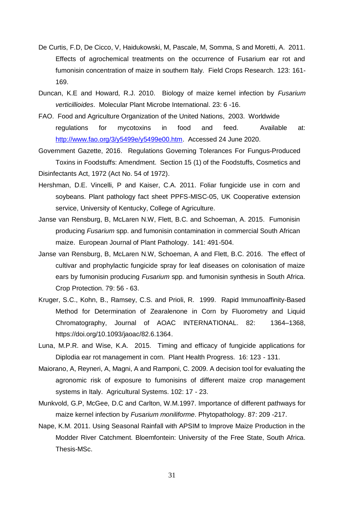- De Curtis, F.D, De Cicco, V, Haidukowski, M, Pascale, M, Somma, S and Moretti, A. 2011. Effects of agrochemical treatments on the occurrence of Fusarium ear rot and fumonisin concentration of maize in southern Italy. Field Crops Research. 123: 161- 169.
- Duncan, K.E and Howard, R.J. 2010. Biology of maize kernel infection by *Fusarium verticillioides*. Molecular Plant Microbe International. 23: 6 -16.
- FAO. Food and Agriculture Organization of the United Nations, 2003. Worldwide regulations for mycotoxins in food and feed. Available at: [http://www.fao.org/3/y5499e/y5499e00.htm.](http://www.fao.org/3/y5499e/y5499e00.htm) Accessed 24 June 2020.
- Government Gazette, 2016. Regulations Governing Tolerances For Fungus-Produced Toxins in Foodstuffs: Amendment. Section 15 (1) of the Foodstuffs, Cosmetics and Disinfectants Act, 1972 (Act No. 54 of 1972).
- Hershman, D.E. Vincelli, P and Kaiser, C.A. 2011. Foliar fungicide use in corn and soybeans. Plant pathology fact sheet PPFS-MISC-05, UK Cooperative extension service, University of Kentucky, College of Agriculture.
- Janse van Rensburg, B, McLaren N.W, Flett, B.C. and Schoeman, A. 2015. Fumonisin producing *Fusarium* spp. and fumonisin contamination in commercial South African maize. European Journal of Plant Pathology. 141: 491-504.
- Janse van Rensburg, B, McLaren N.W, Schoeman, A and Flett, B.C. 2016. The effect of cultivar and prophylactic fungicide spray for leaf diseases on colonisation of maize ears by fumonisin producing *Fusarium* spp. and fumonisin synthesis in South Africa. Crop Protection. 79: 56 - 63.
- Kruger, S.C., Kohn, B., Ramsey, C.S. and Prioli, R. 1999. Rapid Immunoaffinity-Based Method for Determination of Zearalenone in Corn by Fluorometry and Liquid Chromatography, Journal of AOAC INTERNATIONAL. 82: 1364–1368, https://doi.org/10.1093/jaoac/82.6.1364.
- Luna, M.P.R. and Wise, K.A. 2015. Timing and efficacy of fungicide applications for Diplodia ear rot management in corn. Plant Health Progress. 16: 123 - 131.
- Maiorano, A, Reyneri, A, Magni, A and Ramponi, C. 2009. A decision tool for evaluating the agronomic risk of exposure to fumonisins of different maize crop management systems in Italy. Agricultural Systems. 102: 17 - 23.
- Munkvold, G.P, McGee, D.C and Carlton, W.M.1997. Importance of different pathways for maize kernel infection by *Fusarium moniliforme*. Phytopathology. 87: 209 -217.
- Nape, K.M. 2011. Using Seasonal Rainfall with APSIM to Improve Maize Production in the Modder River Catchment. Bloemfontein: University of the Free State, South Africa. Thesis-MSc.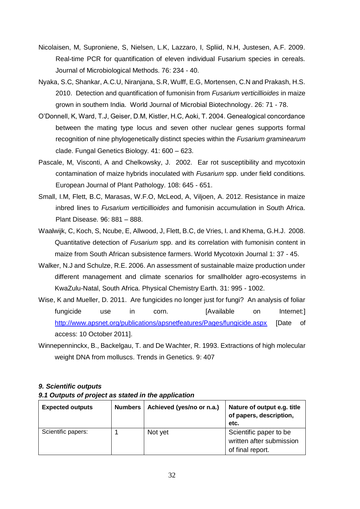- Nicolaisen, M, Suproniene, S, Nielsen, L.K, Lazzaro, I, Spliid, N.H, Justesen, A.F. 2009. Real-time PCR for quantification of eleven individual Fusarium species in cereals. Journal of Microbiological Methods. 76: 234 - 40.
- Nyaka, S.C, Shankar, A.C.U, Niranjana, S.R, Wulff, E.G, Mortensen, C.N and Prakash, H.S. 2010. Detection and quantification of fumonisin from *Fusarium verticillioides* in maize grown in southern India. World Journal of Microbial Biotechnology. 26: 71 - 78.
- O'Donnell, K, Ward, T.J, Geiser, D.M, Kistler, H.C, Aoki, T. 2004. Genealogical concordance between the mating type locus and seven other nuclear genes supports formal recognition of nine phylogenetically distinct species within the *Fusarium graminearum* clade. Fungal Genetics Biology. 41: 600 – 623.
- Pascale, M, Visconti, A and Chelkowsky, J. 2002. Ear rot susceptibility and mycotoxin contamination of maize hybrids inoculated with *Fusarium* spp. under field conditions. European Journal of Plant Pathology. 108: 645 - 651.
- Small, I.M, Flett, B.C, Marasas, W.F.O, McLeod, A, Viljoen, A. 2012. Resistance in maize inbred lines to *Fusarium verticillioides* and fumonisin accumulation in South Africa. Plant Disease. 96: 881 – 888.
- Waalwijk, C, Koch, S, Ncube, E, Allwood, J, Flett, B.C, de Vries, I. and Khema, G.H.J. 2008. Quantitative detection of *Fusarium* spp. and its correlation with fumonisin content in maize from South African subsistence farmers. World Mycotoxin Journal 1: 37 - 45.
- Walker, N.J and Schulze, R.E. 2006. An assessment of sustainable maize production under different management and climate scenarios for smallholder agro-ecosystems in KwaZulu-Natal, South Africa. Physical Chemistry Earth. 31: 995 - 1002.
- Wise, K and Mueller, D. 2011. Are fungicides no longer just for fungi? An analysis of foliar fungicide use in corn. [Available on Internet:] <http://www.apsnet.org/publications/apsnetfeatures/Pages/fungicide.aspx> [Date of access: 10 October 2011].
- Winnepenninckx, B., Backelgau, T. and De Wachter, R. 1993. Extractions of high molecular weight DNA from molluscs. Trends in Genetics. 9: 407

### *9. Scientific outputs*

#### *9.1 Outputs of project as stated in the application*

| <b>Expected outputs</b> | <b>Numbers</b> | Achieved (yes/no or n.a.) | Nature of output e.g. title<br>of papers, description,<br>etc.         |
|-------------------------|----------------|---------------------------|------------------------------------------------------------------------|
| Scientific papers:      |                | Not yet                   | Scientific paper to be<br>written after submission<br>of final report. |
|                         |                |                           |                                                                        |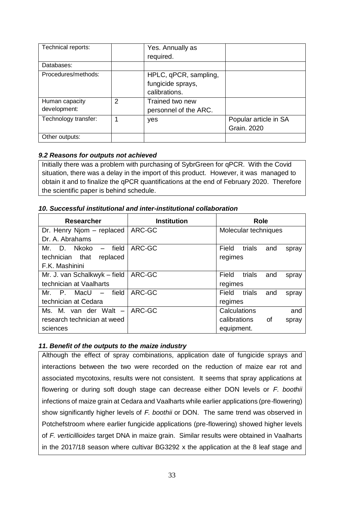| Technical reports:   |   | Yes. Annually as      |                       |
|----------------------|---|-----------------------|-----------------------|
|                      |   | required.             |                       |
| Databases:           |   |                       |                       |
| Procedures/methods:  |   | HPLC, qPCR, sampling, |                       |
|                      |   | fungicide sprays,     |                       |
|                      |   | calibrations.         |                       |
| Human capacity       | 2 | Trained two new       |                       |
| development:         |   | personnel of the ARC. |                       |
| Technology transfer: |   | yes                   | Popular article in SA |
|                      |   |                       | Grain. 2020           |
| Other outputs:       |   |                       |                       |

## *9.2 Reasons for outputs not achieved*

Initially there was a problem with purchasing of SybrGreen for qPCR. With the Covid situation, there was a delay in the import of this product. However, it was managed to obtain it and to finalize the qPCR quantifications at the end of February 2020. Therefore the scientific paper is behind schedule.

## *10. Successful institutional and inter-institutional collaboration*

| <b>Researcher</b>                                                             | <b>Institution</b> | Role                            |
|-------------------------------------------------------------------------------|--------------------|---------------------------------|
| Dr. Henry Njom - replaced                                                     | ARC-GC             | Molecular techniques            |
| Dr. A. Abrahams                                                               |                    |                                 |
| field<br>Mr.<br>Nkoko<br>D.                                                   | ARC-GC             | Field<br>trials<br>and<br>spray |
| technician<br>that<br>replaced                                                |                    | regimes                         |
| F.K. Mashinini                                                                |                    |                                 |
| Mr. J. van Schalkwyk - field                                                  | ARC-GC             | Field<br>trials<br>and<br>spray |
| technician at Vaalharts                                                       |                    | regimes                         |
| Mr.<br>field<br>$\mathsf{P}_{\mathsf{L}}$<br>MacU<br>$\overline{\phantom{0}}$ | ARC-GC             | trials<br>Field<br>and<br>spray |
| technician at Cedara                                                          |                    | regimes                         |
| Ms. M. van der Walt<br>$-$                                                    | ARC-GC             | Calculations<br>and             |
| research technician at weed                                                   |                    | calibrations<br>Οf<br>spray     |
| sciences                                                                      |                    | equipment.                      |

## *11. Benefit of the outputs to the maize industry*

Although the effect of spray combinations, application date of fungicide sprays and interactions between the two were recorded on the reduction of maize ear rot and associated mycotoxins, results were not consistent. It seems that spray applications at flowering or during soft dough stage can decrease either DON levels or *F. boothii* infections of maize grain at Cedara and Vaalharts while earlier applications (pre-flowering) show significantly higher levels of *F. boothii* or DON. The same trend was observed in Potchefstroom where earlier fungicide applications (pre-flowering) showed higher levels of *F. verticillioides* target DNA in maize grain. Similar results were obtained in Vaalharts in the 2017/18 season where cultivar BG3292 x the application at the 8 leaf stage and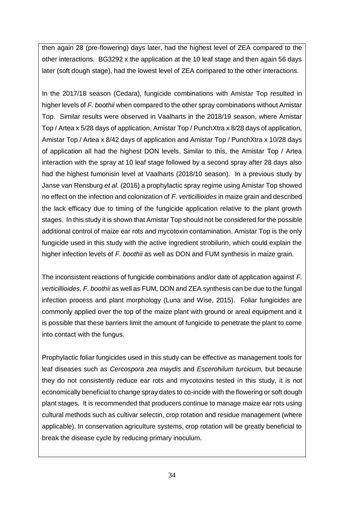then again 28 (pre-flowering) days later, had the highest level of ZEA compared to the other interactions. BG3292 x the application at the 10 leaf stage and then again 56 days later (soft dough stage), had the lowest level of ZEA compared to the other interactions.

In the 2017/18 season (Cedara), fungicide combinations with Amistar Top resulted in higher levels of *F. boothii* when compared to the other spray combinations without Amistar Top. Similar results were observed in Vaalharts in the 2018/19 season, where Amistar Top / Artea x 5/28 days of application, Amistar Top / PunchXtra x 8/28 days of application, Amistar Top / Artea x 8/42 days of application and Amistar Top / PunchXtra x 10/28 days of application all had the highest DON levels. Similar to this, the Amistar Top / Artea interaction with the spray at 10 leaf stage followed by a second spray after 28 days also had the highest fumonisin level at Vaalharts (2018/10 season). In a previous study by Janse van Rensburg *et al*. (2016) a prophylactic spray regime using Amistar Top showed no effect on the infection and colonization of *F. verticillioides* in maize grain and described the lack efficacy due to timing of the fungicide application relative to the plant growth stages. In this study it is shown that Amistar Top should not be considered for the possible additional control of maize ear rots and mycotoxin contamination. Amistar Top is the only fungicide used in this study with the active ingredient strobilurin, which could explain the higher infection levels of *F. boothii* as well as DON and FUM synthesis in maize grain.

The inconsistent reactions of fungicide combinations and/or date of application against *F. verticillioides*, *F. boothii* as well as FUM, DON and ZEA synthesis can be due to the fungal infection process and plant morphology (Luna and Wise, 2015). Foliar fungicides are commonly applied over the top of the maize plant with ground or areal equipment and it is possible that these barriers limit the amount of fungicide to penetrate the plant to come into contact with the fungus.

Prophylactic foliar fungicides used in this study can be effective as management tools for leaf diseases such as *Cercospora zea maydis* and *Escerohilum turcicum,* but because they do not consistently reduce ear rots and mycotoxins tested in this study, it is not economically beneficial to change spray dates to co-incide with the flowering or soft dough plant stages. It is recommended that producers continue to manage maize ear rots using cultural methods such as cultivar selectin, crop rotation and residue management (where applicable). In conservation agriculture systems, crop rotation will be greatly beneficial to break the disease cycle by reducing primary inoculum.